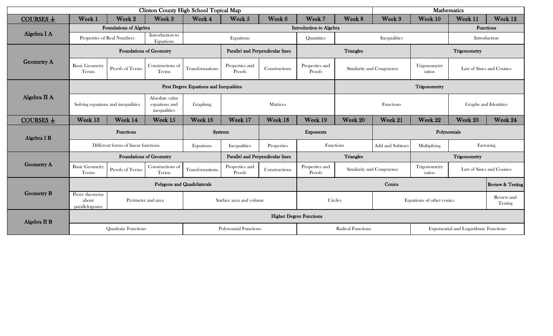| <b>Clinton County High School Topical Map</b> |                                                                 |                        |                                                 |                 |                                  |               |                               | <b>Mathematics</b>        |                           |                                              |                          |                              |
|-----------------------------------------------|-----------------------------------------------------------------|------------------------|-------------------------------------------------|-----------------|----------------------------------|---------------|-------------------------------|---------------------------|---------------------------|----------------------------------------------|--------------------------|------------------------------|
| COURSES $\downarrow$                          | Week 1                                                          | Week 2                 | Week 3                                          | Week 4          | Week 5                           | Week 6        | Week 7                        | Week 8                    | Week 9                    | Week 10                                      | Week 11                  | Week 12                      |
|                                               |                                                                 | Foundations of Algebra |                                                 |                 | Introduction to Algebra          |               |                               |                           |                           | <b>Functions</b>                             |                          |                              |
| Algebra I A                                   | Properties of Real Numbers                                      |                        | Introduction to<br>Equations                    | Equations       |                                  |               | Quantities                    |                           | Inequalities              | Introduction                                 |                          |                              |
| <b>Geometry A</b>                             | <b>Foundations of Geometry</b>                                  |                        |                                                 |                 | Parallel and Perpendicular lines |               | Triangles                     |                           |                           |                                              | Trigonometry             |                              |
|                                               | <b>Basic Geometry</b><br>Terms                                  | Proofs of Terms        | Constructions of<br>Terms                       | Transformations | Properties and<br>Proofs         | Constructions | Properties and<br>Proofs      |                           | Similarity and Congruence | Trigonometry<br>ratios                       | Law of Sines and Cosines |                              |
| Algebra II A                                  | <b>First Degree Equations and Inequalities</b>                  |                        |                                                 |                 |                                  |               |                               | Trigonometry              |                           |                                              |                          |                              |
|                                               | Solving equations and inequalities                              |                        | Absolute value<br>equations and<br>inequalities | Graphing        | Matrices                         |               |                               | Functions                 |                           |                                              | Graphs and Identities    |                              |
| COURSES $\downarrow$                          | Week 13                                                         | Week 14                | Week 15                                         | Week 16         | Week 17                          | Week 18       | Week 19                       | Week 20                   | Week 21                   | Week 22                                      | Week 23                  | Week 24                      |
| Algebra I B                                   | Functions<br><b>Systems</b>                                     |                        |                                                 |                 | <b>Exponents</b>                 |               |                               | Polynomials               |                           |                                              |                          |                              |
|                                               | Different forms of linear functions                             |                        |                                                 | Equations       | Inequalities                     | Properties    | Functions<br>Add and Subtract |                           | Multiplying               | Factoring                                    |                          |                              |
| <b>Geometry A</b>                             | <b>Foundations of Geometry</b>                                  |                        |                                                 |                 | Parallel and Perpendicular lines |               | Triangles                     |                           |                           |                                              | Trigonometry             |                              |
|                                               | <b>Basic Geometry</b><br>Terms                                  | Proofs of Terms        | Constructions of<br>Terms                       | Transformations | Properties and<br>Proofs         | Constructions | Properties and<br>Proofs      | Similarity and Congruence |                           | Trigonometry<br>ratios                       | Law of Sines and Cosines |                              |
| <b>Geometry B</b>                             | Polygons and Quadrilaterals                                     |                        |                                                 |                 |                                  |               | Conics                        |                           |                           |                                              |                          | <b>Review &amp; Testing</b>  |
|                                               | Prove theorems<br>Perimeter and area<br>about<br>parallelograms |                        |                                                 |                 | Surface area and volume          |               | Circles                       |                           | Equations of other conics |                                              |                          | Review and<br><b>Testing</b> |
| Algebra II B                                  | <b>Higher Degree Functions</b>                                  |                        |                                                 |                 |                                  |               |                               |                           |                           |                                              |                          |                              |
|                                               | <b>Quadratic Functions</b>                                      |                        |                                                 |                 | <b>Polynomial Functions</b>      |               | <b>Radical Functions</b>      |                           |                           | <b>Exponential and Logarithmic Functions</b> |                          |                              |